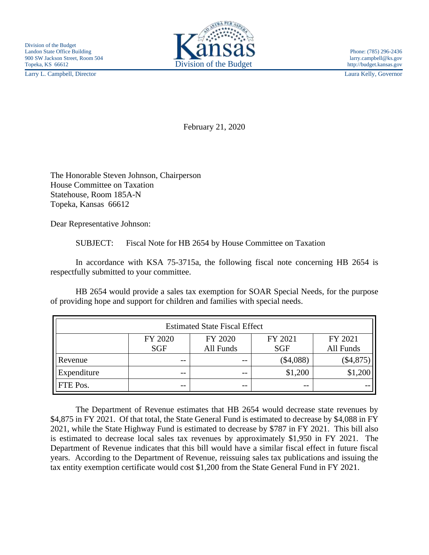Larry L. Campbell, Director Laura Kelly, Governor



February 21, 2020

The Honorable Steven Johnson, Chairperson House Committee on Taxation Statehouse, Room 185A-N Topeka, Kansas 66612

Dear Representative Johnson:

SUBJECT: Fiscal Note for HB 2654 by House Committee on Taxation

In accordance with KSA 75-3715a, the following fiscal note concerning HB 2654 is respectfully submitted to your committee.

HB 2654 would provide a sales tax exemption for SOAR Special Needs, for the purpose of providing hope and support for children and families with special needs.

| <b>Estimated State Fiscal Effect</b> |            |           |            |            |
|--------------------------------------|------------|-----------|------------|------------|
|                                      | FY 2020    | FY 2020   | FY 2021    | FY 2021    |
|                                      | <b>SGF</b> | All Funds | <b>SGF</b> | All Funds  |
| Revenue                              | $- -$      | $ -$      | (\$4,088)  | $(\$4,875$ |
| Expenditure                          | $- -$      | $- -$     | \$1,200    | \$1,200    |
| FTE Pos.                             | $- -$      | $- -$     | $- -$      |            |

The Department of Revenue estimates that HB 2654 would decrease state revenues by \$4,875 in FY 2021. Of that total, the State General Fund is estimated to decrease by \$4,088 in FY 2021, while the State Highway Fund is estimated to decrease by \$787 in FY 2021. This bill also is estimated to decrease local sales tax revenues by approximately \$1,950 in FY 2021. The Department of Revenue indicates that this bill would have a similar fiscal effect in future fiscal years. According to the Department of Revenue, reissuing sales tax publications and issuing the tax entity exemption certificate would cost \$1,200 from the State General Fund in FY 2021.